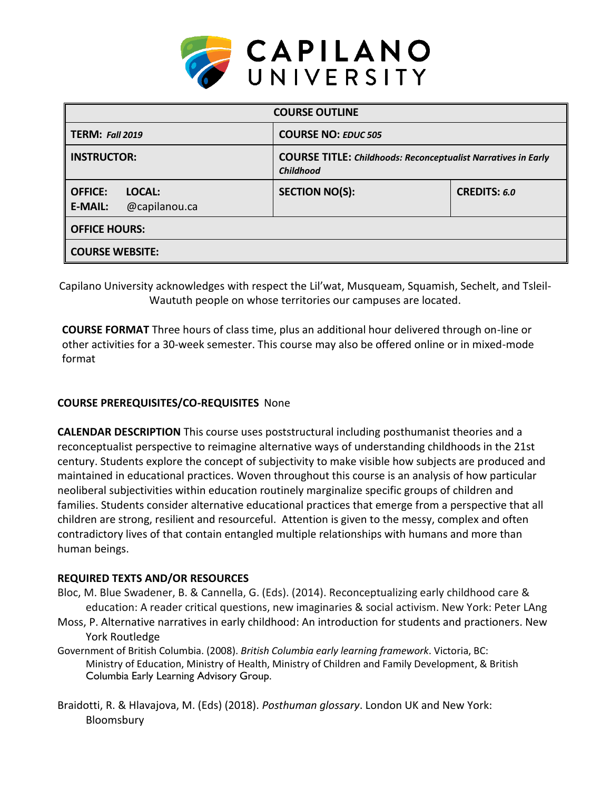

| <b>COURSE OUTLINE</b>                                       |                                                                                          |                     |  |  |  |
|-------------------------------------------------------------|------------------------------------------------------------------------------------------|---------------------|--|--|--|
| <b>TERM: Fall 2019</b>                                      | <b>COURSE NO: EDUC 505</b>                                                               |                     |  |  |  |
| <b>INSTRUCTOR:</b>                                          | <b>COURSE TITLE: Childhoods: Reconceptualist Narratives in Early</b><br><b>Childhood</b> |                     |  |  |  |
| <b>OFFICE:</b><br>LOCAL:<br>@capilanou.ca<br><b>E-MAIL:</b> | <b>SECTION NO(S):</b>                                                                    | <b>CREDITS: 6.0</b> |  |  |  |
| <b>OFFICE HOURS:</b>                                        |                                                                                          |                     |  |  |  |
| <b>COURSE WEBSITE:</b>                                      |                                                                                          |                     |  |  |  |

Capilano University acknowledges with respect the Lil'wat, Musqueam, Squamish, Sechelt, and Tsleil-Waututh people on whose territories our campuses are located.

**COURSE FORMAT** Three hours of class time, plus an additional hour delivered through on-line or other activities for a 30-week semester. This course may also be offered online or in mixed-mode format

# **COURSE PREREQUISITES/CO-REQUISITES** None

**CALENDAR DESCRIPTION** This course uses poststructural including posthumanist theories and a reconceptualist perspective to reimagine alternative ways of understanding childhoods in the 21st century. Students explore the concept of subjectivity to make visible how subjects are produced and maintained in educational practices. Woven throughout this course is an analysis of how particular neoliberal subjectivities within education routinely marginalize specific groups of children and families. Students consider alternative educational practices that emerge from a perspective that all children are strong, resilient and resourceful. Attention is given to the messy, complex and often contradictory lives of that contain entangled multiple relationships with humans and more than human beings.

### **REQUIRED TEXTS AND/OR RESOURCES**

- Bloc, M. Blue Swadener, B. & Cannella, G. (Eds). (2014). Reconceptualizing early childhood care & education: A reader critical questions, new imaginaries & social activism. New York: Peter LAng
- Moss, P. Alternative narratives in early childhood: An introduction for students and practioners. New York Routledge
- Government of British Columbia. (2008). *British Columbia early learning framework*. Victoria, BC: Ministry of Education, Ministry of Health, Ministry of Children and Family Development, & British Columbia Early Learning Advisory Group.
- Braidotti, R. & Hlavajova, M. (Eds) (2018). *Posthuman glossary*. London UK and New York: Bloomsbury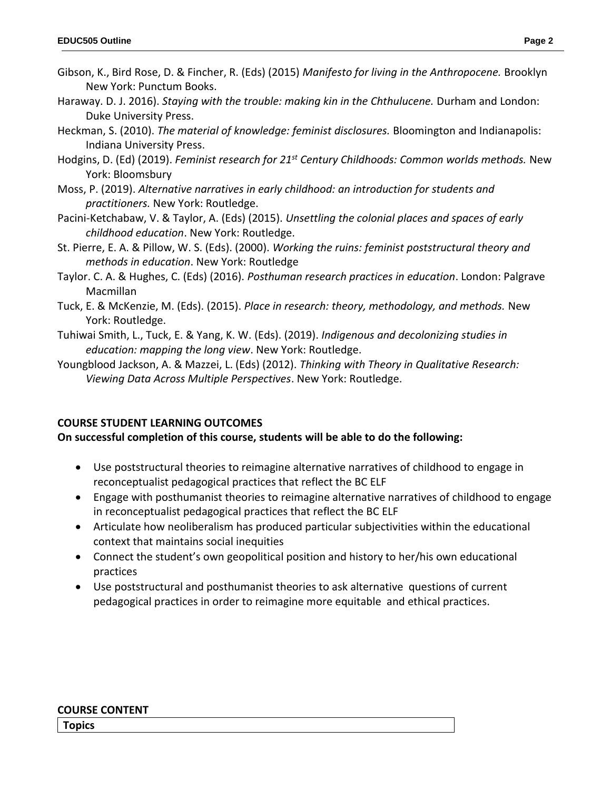- Haraway. D. J. 2016). *Staying with the trouble: making kin in the Chthulucene.* Durham and London: Duke University Press.
- Heckman, S. (2010). *The material of knowledge: feminist disclosures.* Bloomington and Indianapolis: Indiana University Press.
- Hodgins, D. (Ed) (2019). *Feminist research for 21st Century Childhoods: Common worlds methods.* New York: Bloomsbury
- Moss, P. (2019). *Alternative narratives in early childhood: an introduction for students and practitioners.* New York: Routledge.
- Pacini-Ketchabaw, V. & Taylor, A. (Eds) (2015). *Unsettling the colonial places and spaces of early childhood education*. New York: Routledge.
- St. Pierre, E. A. & Pillow, W. S. (Eds). (2000). *Working the ruins: feminist poststructural theory and methods in education*. New York: Routledge
- Taylor. C. A. & Hughes, C. (Eds) (2016). *Posthuman research practices in education*. London: Palgrave Macmillan
- Tuck, E. & McKenzie, M. (Eds). (2015). *Place in research: theory, methodology, and methods.* New York: Routledge.
- Tuhiwai Smith, L., Tuck, E. & Yang, K. W. (Eds). (2019). *Indigenous and decolonizing studies in education: mapping the long view*. New York: Routledge.
- Youngblood Jackson, A. & Mazzei, L. (Eds) (2012). *Thinking with Theory in Qualitative Research: Viewing Data Across Multiple Perspectives*. New York: Routledge.

# **COURSE STUDENT LEARNING OUTCOMES**

# **On successful completion of this course, students will be able to do the following:**

- Use poststructural theories to reimagine alternative narratives of childhood to engage in reconceptualist pedagogical practices that reflect the BC ELF
- Engage with posthumanist theories to reimagine alternative narratives of childhood to engage in reconceptualist pedagogical practices that reflect the BC ELF
- Articulate how neoliberalism has produced particular subjectivities within the educational context that maintains social inequities
- Connect the student's own geopolitical position and history to her/his own educational practices
- Use poststructural and posthumanist theories to ask alternative questions of current pedagogical practices in order to reimagine more equitable and ethical practices.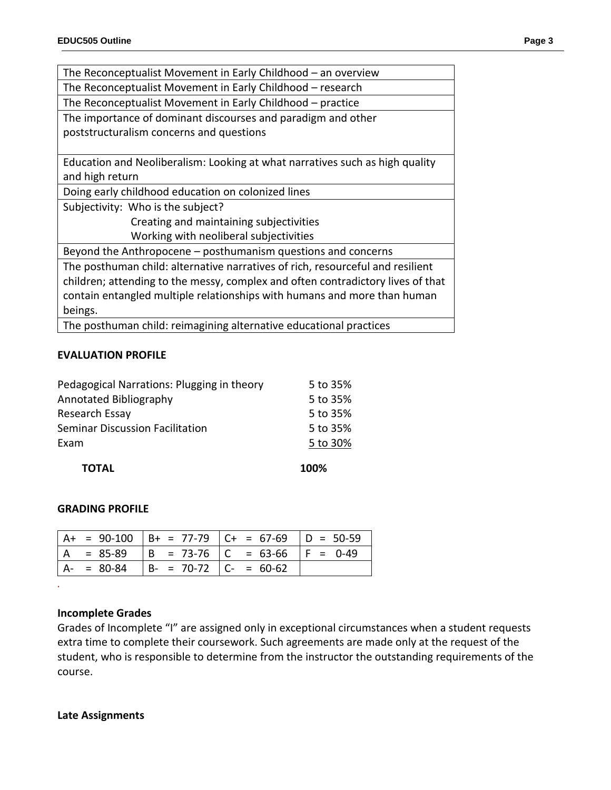| The Reconceptualist Movement in Early Childhood $-$ an overview                 |  |  |  |  |
|---------------------------------------------------------------------------------|--|--|--|--|
| The Reconceptualist Movement in Early Childhood – research                      |  |  |  |  |
| The Reconceptualist Movement in Early Childhood – practice                      |  |  |  |  |
| The importance of dominant discourses and paradigm and other                    |  |  |  |  |
| poststructuralism concerns and questions                                        |  |  |  |  |
|                                                                                 |  |  |  |  |
| Education and Neoliberalism: Looking at what narratives such as high quality    |  |  |  |  |
| and high return                                                                 |  |  |  |  |
| Doing early childhood education on colonized lines                              |  |  |  |  |
| Subjectivity: Who is the subject?                                               |  |  |  |  |
| Creating and maintaining subjectivities                                         |  |  |  |  |
| Working with neoliberal subjectivities                                          |  |  |  |  |
| Beyond the Anthropocene - posthumanism questions and concerns                   |  |  |  |  |
| The posthuman child: alternative narratives of rich, resourceful and resilient  |  |  |  |  |
| children; attending to the messy, complex and often contradictory lives of that |  |  |  |  |
| contain entangled multiple relationships with humans and more than human        |  |  |  |  |
| beings.                                                                         |  |  |  |  |
| The posthuman child: reimagining alternative educational practices              |  |  |  |  |

#### **EVALUATION PROFILE**

| <b>TOTAL</b>                               | 100%     |
|--------------------------------------------|----------|
| Exam                                       | 5 to 30% |
| <b>Seminar Discussion Facilitation</b>     | 5 to 35% |
| Research Essay                             | 5 to 35% |
| Annotated Bibliography                     | 5 to 35% |
| Pedagogical Narrations: Plugging in theory | 5 to 35% |

### **GRADING PROFILE**

|               |                             | $ $ A+ = 90-100 $ $ B+ = 77-79 $ $ C+ = 67-69 $ $ D = 50-59 |  |
|---------------|-----------------------------|-------------------------------------------------------------|--|
|               |                             | A = 85-89   B = 73-76   C = 63-66   F = 0-49                |  |
| $A - = 80-84$ | $ B- = 70-72$ $ C- = 60-62$ |                                                             |  |

### **Incomplete Grades**

*.*

Grades of Incomplete "I" are assigned only in exceptional circumstances when a student requests extra time to complete their coursework. Such agreements are made only at the request of the student, who is responsible to determine from the instructor the outstanding requirements of the course.

#### **Late Assignments**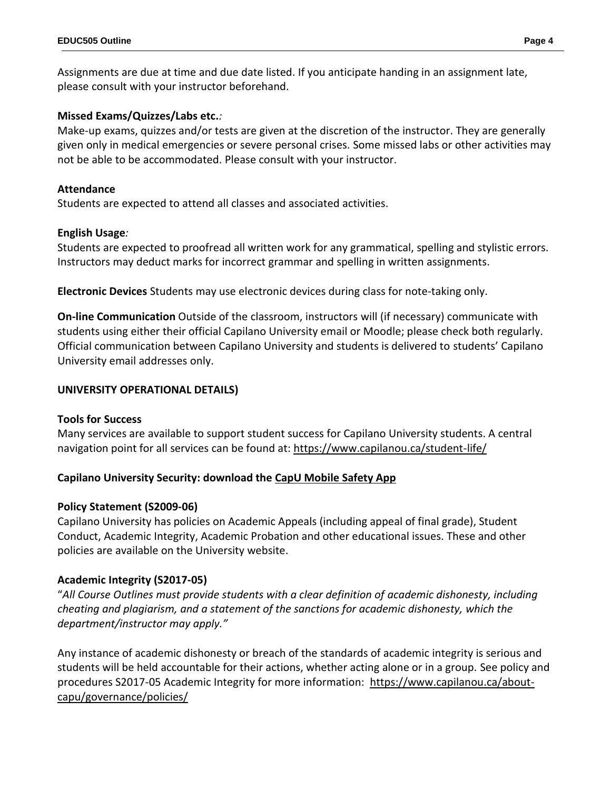Assignments are due at time and due date listed. If you anticipate handing in an assignment late, please consult with your instructor beforehand.

### **Missed Exams/Quizzes/Labs etc.***:*

Make-up exams, quizzes and/or tests are given at the discretion of the instructor. They are generally given only in medical emergencies or severe personal crises. Some missed labs or other activities may not be able to be accommodated. Please consult with your instructor.

### **Attendance**

Students are expected to attend all classes and associated activities.

### **English Usage***:*

Students are expected to proofread all written work for any grammatical, spelling and stylistic errors. Instructors may deduct marks for incorrect grammar and spelling in written assignments.

**Electronic Devices** Students may use electronic devices during class for note-taking only.

**On-line Communication** Outside of the classroom, instructors will (if necessary) communicate with students using either their official Capilano University email or Moodle; please check both regularly. Official communication between Capilano University and students is delivered to students' Capilano University email addresses only.

### **UNIVERSITY OPERATIONAL DETAILS)**

# **Tools for Success**

Many services are available to support student success for Capilano University students. A central navigation point for all services can be found at:<https://www.capilanou.ca/student-life/>

# **Capilano University Security: download the [CapU Mobile Safety App](https://www.capilanou.ca/student-life/support--wellness/safety--security/capu-safe-app/)**

# **Policy Statement (S2009-06)**

Capilano University has policies on Academic Appeals (including appeal of final grade), Student Conduct, Academic Integrity, Academic Probation and other educational issues. These and other policies are available on the University website.

# **Academic Integrity (S2017-05)**

"*All Course Outlines must provide students with a clear definition of academic dishonesty, including cheating and plagiarism, and a statement of the sanctions for academic dishonesty, which the department/instructor may apply."*

Any instance of academic dishonesty or breach of the standards of academic integrity is serious and students will be held accountable for their actions, whether acting alone or in a group. See policy and procedures S2017-05 Academic Integrity for more information: [https://www.capilanou.ca/about](https://www.capilanou.ca/about-capu/governance/policies/)[capu/governance/policies/](https://www.capilanou.ca/about-capu/governance/policies/)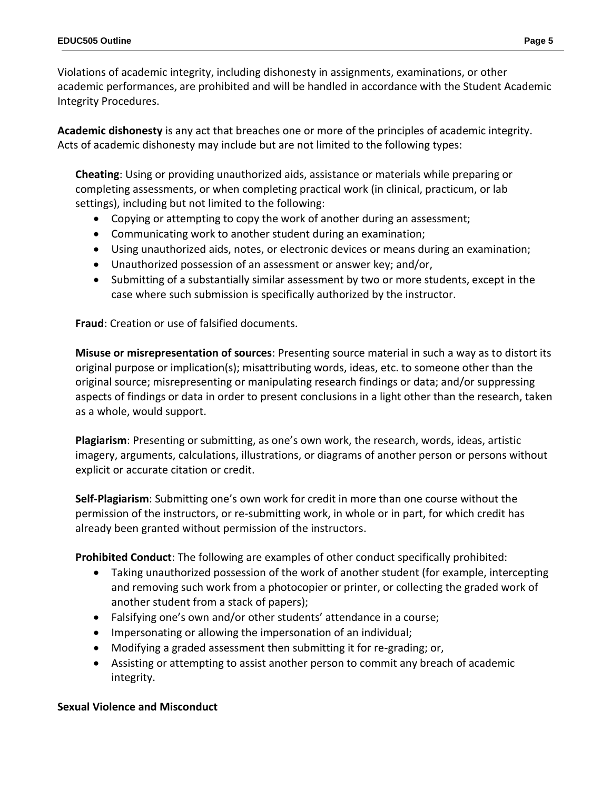Violations of academic integrity, including dishonesty in assignments, examinations, or other academic performances, are prohibited and will be handled in accordance with the Student Academic Integrity Procedures.

**Academic dishonesty** is any act that breaches one or more of the principles of academic integrity. Acts of academic dishonesty may include but are not limited to the following types:

**Cheating**: Using or providing unauthorized aids, assistance or materials while preparing or completing assessments, or when completing practical work (in clinical, practicum, or lab settings), including but not limited to the following:

- Copying or attempting to copy the work of another during an assessment;
- Communicating work to another student during an examination;
- Using unauthorized aids, notes, or electronic devices or means during an examination;
- Unauthorized possession of an assessment or answer key; and/or,
- Submitting of a substantially similar assessment by two or more students, except in the case where such submission is specifically authorized by the instructor.

**Fraud**: Creation or use of falsified documents.

**Misuse or misrepresentation of sources**: Presenting source material in such a way as to distort its original purpose or implication(s); misattributing words, ideas, etc. to someone other than the original source; misrepresenting or manipulating research findings or data; and/or suppressing aspects of findings or data in order to present conclusions in a light other than the research, taken as a whole, would support.

**Plagiarism**: Presenting or submitting, as one's own work, the research, words, ideas, artistic imagery, arguments, calculations, illustrations, or diagrams of another person or persons without explicit or accurate citation or credit.

**Self-Plagiarism**: Submitting one's own work for credit in more than one course without the permission of the instructors, or re-submitting work, in whole or in part, for which credit has already been granted without permission of the instructors.

**Prohibited Conduct**: The following are examples of other conduct specifically prohibited:

- Taking unauthorized possession of the work of another student (for example, intercepting and removing such work from a photocopier or printer, or collecting the graded work of another student from a stack of papers);
- Falsifying one's own and/or other students' attendance in a course;
- Impersonating or allowing the impersonation of an individual;
- Modifying a graded assessment then submitting it for re-grading; or,
- Assisting or attempting to assist another person to commit any breach of academic integrity.

# **Sexual Violence and Misconduct**